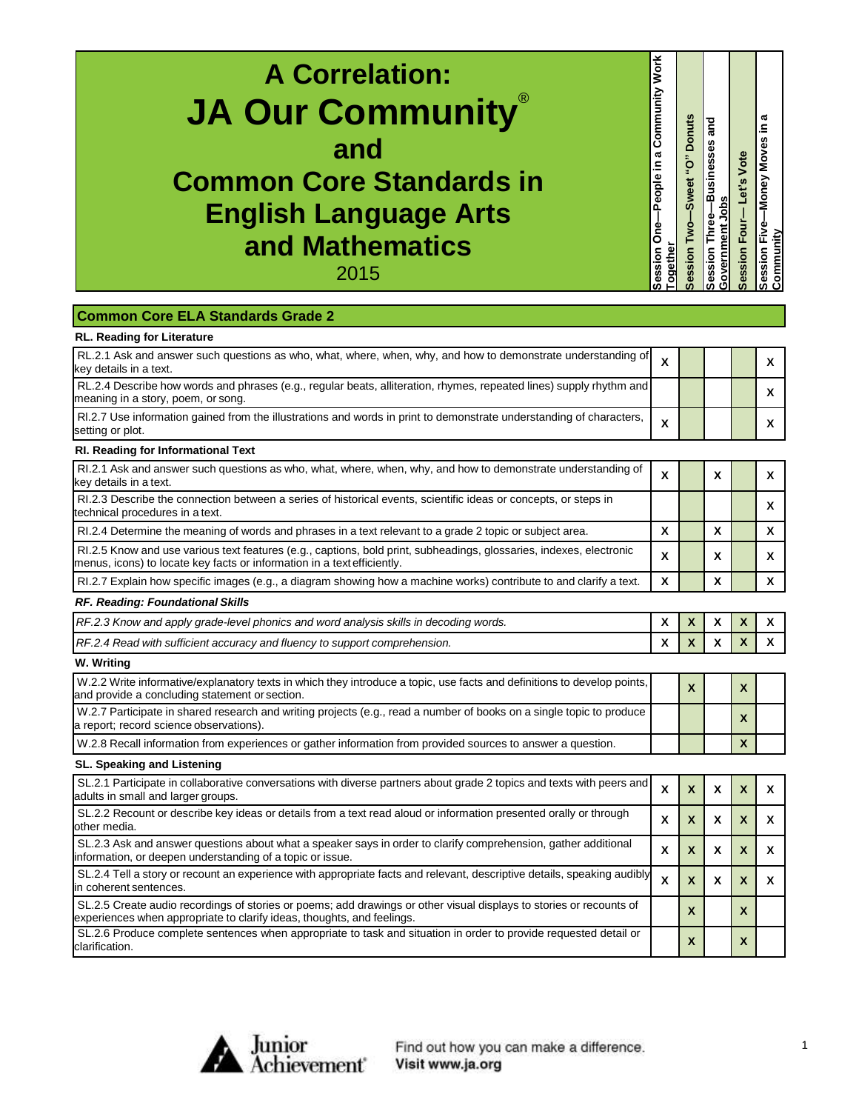| RL.2.1 Ask and answer such questions as who, what, where, when, why, and how to demonstrate understanding of<br>X<br>X<br>RL.2.4 Describe how words and phrases (e.g., regular beats, alliteration, rhymes, repeated lines) supply rhythm and<br>X<br>RI.2.7 Use information gained from the illustrations and words in print to demonstrate understanding of characters,<br>X<br>Χ<br>RI.2.1 Ask and answer such questions as who, what, where, when, why, and how to demonstrate understanding of<br>X<br>X<br>x<br>RI.2.3 Describe the connection between a series of historical events, scientific ideas or concepts, or steps in<br>X<br>$\boldsymbol{\mathsf{x}}$<br>X<br>$\mathsf{x}$<br>RI.2.4 Determine the meaning of words and phrases in a text relevant to a grade 2 topic or subject area.<br>RI.2.5 Know and use various text features (e.g., captions, bold print, subheadings, glossaries, indexes, electronic<br>X<br>X<br>X<br>X<br>X<br>X<br>RI.2.7 Explain how specific images (e.g., a diagram showing how a machine works) contribute to and clarify a text.<br>$\boldsymbol{\mathsf{x}}$<br>RF.2.3 Know and apply grade-level phonics and word analysis skills in decoding words.<br>Χ<br>X<br>X<br>X<br>$\boldsymbol{\mathsf{x}}$<br>X<br>RF.2.4 Read with sufficient accuracy and fluency to support comprehension.<br>X<br>X<br>X | <b>A Correlation:</b><br><b>JA Our Community</b><br>and<br><b>Common Core Standards in</b><br><b>English Language Arts</b><br>and Mathematics<br>2015<br><b>Common Core ELA Standards Grade 2</b> | <b>Work</b><br>Community<br>People in a<br>Session One-<br>ogether | Session Two-Sweet "O" Donuts | and<br>Session Three-Businesses<br>Government Jobs | Session Four-Let's Vote | æ<br>≘.<br>Session Five-Money Moves<br>Community |
|--------------------------------------------------------------------------------------------------------------------------------------------------------------------------------------------------------------------------------------------------------------------------------------------------------------------------------------------------------------------------------------------------------------------------------------------------------------------------------------------------------------------------------------------------------------------------------------------------------------------------------------------------------------------------------------------------------------------------------------------------------------------------------------------------------------------------------------------------------------------------------------------------------------------------------------------------------------------------------------------------------------------------------------------------------------------------------------------------------------------------------------------------------------------------------------------------------------------------------------------------------------------------------------------------------------------------------------------------------------|---------------------------------------------------------------------------------------------------------------------------------------------------------------------------------------------------|--------------------------------------------------------------------|------------------------------|----------------------------------------------------|-------------------------|--------------------------------------------------|
|                                                                                                                                                                                                                                                                                                                                                                                                                                                                                                                                                                                                                                                                                                                                                                                                                                                                                                                                                                                                                                                                                                                                                                                                                                                                                                                                                              | <b>RL. Reading for Literature</b>                                                                                                                                                                 |                                                                    |                              |                                                    |                         |                                                  |
|                                                                                                                                                                                                                                                                                                                                                                                                                                                                                                                                                                                                                                                                                                                                                                                                                                                                                                                                                                                                                                                                                                                                                                                                                                                                                                                                                              | key details in a text.                                                                                                                                                                            |                                                                    |                              |                                                    |                         |                                                  |
|                                                                                                                                                                                                                                                                                                                                                                                                                                                                                                                                                                                                                                                                                                                                                                                                                                                                                                                                                                                                                                                                                                                                                                                                                                                                                                                                                              | meaning in a story, poem, or song                                                                                                                                                                 |                                                                    |                              |                                                    |                         |                                                  |
|                                                                                                                                                                                                                                                                                                                                                                                                                                                                                                                                                                                                                                                                                                                                                                                                                                                                                                                                                                                                                                                                                                                                                                                                                                                                                                                                                              | setting or plot.                                                                                                                                                                                  |                                                                    |                              |                                                    |                         |                                                  |
|                                                                                                                                                                                                                                                                                                                                                                                                                                                                                                                                                                                                                                                                                                                                                                                                                                                                                                                                                                                                                                                                                                                                                                                                                                                                                                                                                              | RI. Reading for Informational Text                                                                                                                                                                |                                                                    |                              |                                                    |                         |                                                  |
|                                                                                                                                                                                                                                                                                                                                                                                                                                                                                                                                                                                                                                                                                                                                                                                                                                                                                                                                                                                                                                                                                                                                                                                                                                                                                                                                                              | key details in a text.                                                                                                                                                                            |                                                                    |                              |                                                    |                         |                                                  |
|                                                                                                                                                                                                                                                                                                                                                                                                                                                                                                                                                                                                                                                                                                                                                                                                                                                                                                                                                                                                                                                                                                                                                                                                                                                                                                                                                              | technical procedures in a text.                                                                                                                                                                   |                                                                    |                              |                                                    |                         |                                                  |
|                                                                                                                                                                                                                                                                                                                                                                                                                                                                                                                                                                                                                                                                                                                                                                                                                                                                                                                                                                                                                                                                                                                                                                                                                                                                                                                                                              |                                                                                                                                                                                                   |                                                                    |                              |                                                    |                         |                                                  |
|                                                                                                                                                                                                                                                                                                                                                                                                                                                                                                                                                                                                                                                                                                                                                                                                                                                                                                                                                                                                                                                                                                                                                                                                                                                                                                                                                              | menus, icons) to locate key facts or information in a text efficiently.                                                                                                                           |                                                                    |                              |                                                    |                         |                                                  |
|                                                                                                                                                                                                                                                                                                                                                                                                                                                                                                                                                                                                                                                                                                                                                                                                                                                                                                                                                                                                                                                                                                                                                                                                                                                                                                                                                              |                                                                                                                                                                                                   |                                                                    |                              |                                                    |                         |                                                  |
|                                                                                                                                                                                                                                                                                                                                                                                                                                                                                                                                                                                                                                                                                                                                                                                                                                                                                                                                                                                                                                                                                                                                                                                                                                                                                                                                                              | RF. Reading: Foundational Skills                                                                                                                                                                  |                                                                    |                              |                                                    |                         |                                                  |
|                                                                                                                                                                                                                                                                                                                                                                                                                                                                                                                                                                                                                                                                                                                                                                                                                                                                                                                                                                                                                                                                                                                                                                                                                                                                                                                                                              |                                                                                                                                                                                                   |                                                                    |                              |                                                    |                         |                                                  |
|                                                                                                                                                                                                                                                                                                                                                                                                                                                                                                                                                                                                                                                                                                                                                                                                                                                                                                                                                                                                                                                                                                                                                                                                                                                                                                                                                              |                                                                                                                                                                                                   |                                                                    |                              |                                                    |                         |                                                  |

| W.2.2 Write informative/explanatory texts in which they introduce a topic, use facts and definitions to develop points,<br>and provide a concluding statement or section. |  |  |  |
|---------------------------------------------------------------------------------------------------------------------------------------------------------------------------|--|--|--|
| W.2.7 Participate in shared research and writing projects (e.g., read a number of books on a single topic to produce<br>a report; record science observations).           |  |  |  |
| W.2.8 Recall information from experiences or gather information from provided sources to answer a question.                                                               |  |  |  |

## **SL. Speaking and Listening**

| SL.2.1 Participate in collaborative conversations with diverse partners about grade 2 topics and texts with peers and<br>adults in small and larger groups.                                   |   |                           |   |  |
|-----------------------------------------------------------------------------------------------------------------------------------------------------------------------------------------------|---|---------------------------|---|--|
| SL.2.2 Recount or describe key ideas or details from a text read aloud or information presented orally or through<br>other media.                                                             | x |                           |   |  |
| SL.2.3 Ask and answer questions about what a speaker says in order to clarify comprehension, gather additional<br>information, or deepen understanding of a topic or issue.                   | x |                           |   |  |
| SL.2.4 Tell a story or recount an experience with appropriate facts and relevant, descriptive details, speaking audibly<br>in coherent sentences.                                             | X |                           | X |  |
| SL.2.5 Create audio recordings of stories or poems; add drawings or other visual displays to stories or recounts of<br>experiences when appropriate to clarify ideas, thoughts, and feelings. |   | $\boldsymbol{\mathsf{A}}$ | χ |  |
| SL.2.6 Produce complete sentences when appropriate to task and situation in order to provide requested detail or<br>clarification.                                                            |   |                           | X |  |